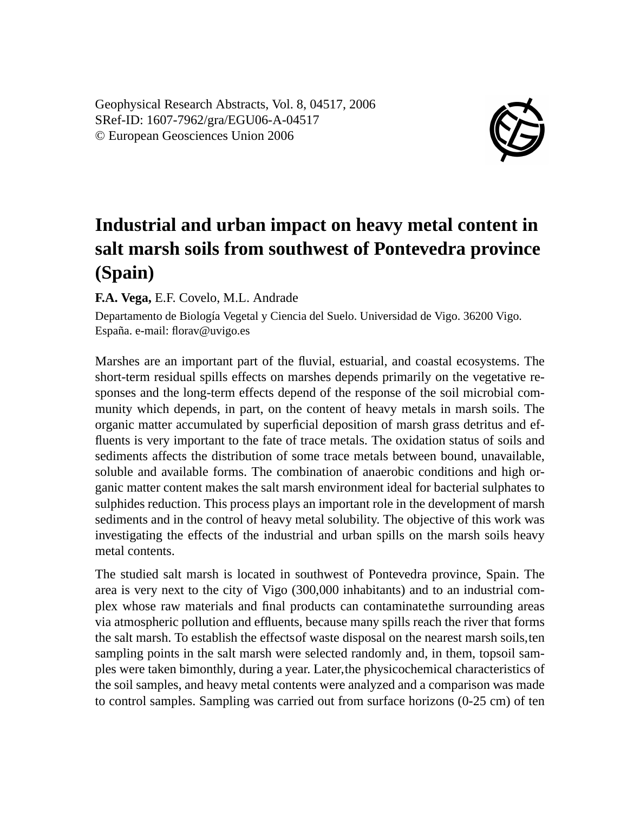Geophysical Research Abstracts, Vol. 8, 04517, 2006 SRef-ID: 1607-7962/gra/EGU06-A-04517 © European Geosciences Union 2006



## **Industrial and urban impact on heavy metal content in salt marsh soils from southwest of Pontevedra province (Spain)**

**F.A. Vega,** E.F. Covelo, M.L. Andrade

Departamento de Biología Vegetal y Ciencia del Suelo. Universidad de Vigo. 36200 Vigo. España. e-mail: florav@uvigo.es

Marshes are an important part of the fluvial, estuarial, and coastal ecosystems. The short-term residual spills effects on marshes depends primarily on the vegetative responses and the long-term effects depend of the response of the soil microbial community which depends, in part, on the content of heavy metals in marsh soils. The organic matter accumulated by superficial deposition of marsh grass detritus and effluents is very important to the fate of trace metals. The oxidation status of soils and sediments affects the distribution of some trace metals between bound, unavailable, soluble and available forms. The combination of anaerobic conditions and high organic matter content makes the salt marsh environment ideal for bacterial sulphates to sulphides reduction. This process plays an important role in the development of marsh sediments and in the control of heavy metal solubility. The objective of this work was investigating the effects of the industrial and urban spills on the marsh soils heavy metal contents.

The studied salt marsh is located in southwest of Pontevedra province, Spain. The area is very next to the city of Vigo (300,000 inhabitants) and to an industrial complex whose raw materials and final products can contaminatethe surrounding areas via atmospheric pollution and effluents, because many spills reach the river that forms the salt marsh. To establish the effectsof waste disposal on the nearest marsh soils,ten sampling points in the salt marsh were selected randomly and, in them, topsoil samples were taken bimonthly, during a year. Later,the physicochemical characteristics of the soil samples, and heavy metal contents were analyzed and a comparison was made to control samples. Sampling was carried out from surface horizons (0-25 cm) of ten